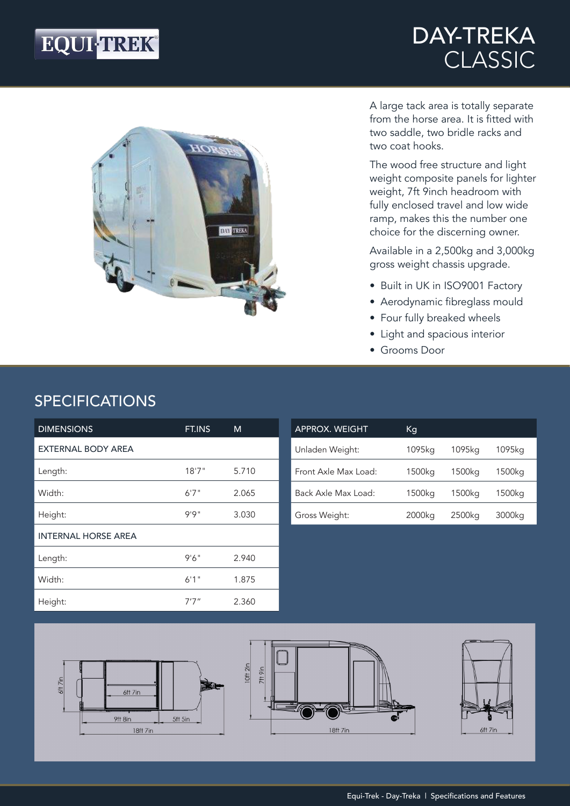# EQUI-TREK®

## DAY-TREKA CLASSIC



A large tack area is totally separate from the horse area. It is fitted with two saddle, two bridle racks and two coat hooks.

The wood free structure and light weight composite panels for lighter weight, 7ft 9inch headroom with fully enclosed travel and low wide ramp, makes this the number one choice for the discerning owner.

Available in a 2,500kg and 3,000kg gross weight chassis upgrade.

- Built in UK in ISO9001 Factory
- Aerodynamic fibreglass mould
- Four fully breaked wheels
- Light and spacious interior
- Grooms Door

## SPECIFICATIONS

| <b>DIMENSIONS</b>          | FT.INS | M     |
|----------------------------|--------|-------|
| <b>EXTERNAL BODY AREA</b>  |        |       |
| Length:                    | 18'7'' | 5.710 |
| Width:                     | 6'7''  | 2.065 |
| Height:                    | 9'9''  | 3.030 |
| <b>INTERNAL HORSE AREA</b> |        |       |
| Length:                    | 9'6''  | 2.940 |
| Width:                     | 6'1''  | 1.875 |
| Height:                    | 7'7''  | 2.360 |

| <b>APPROX. WEIGHT</b> | Кq     |        |        |
|-----------------------|--------|--------|--------|
| Unladen Weight:       | 1095ka | 1095ka | 1095ka |
| Front Axle Max Load:  | 1500kg | 1500kg | 1500kg |
| Back Axle Max Load:   | 1500kg | 1500kg | 1500kg |
| Gross Weight:         | 2000kg | 2500kg | 3000kg |